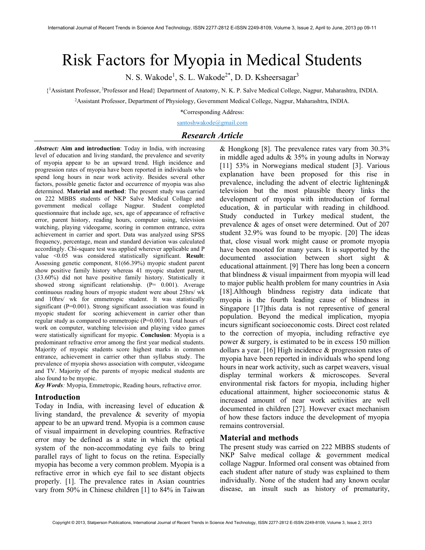# Risk Factors for Myopia in Medical Students

N. S. Wakode<sup>1</sup>, S. L. Wakode<sup>2\*</sup>, D. D. Ksheersagar<sup>3</sup>

{ <sup>1</sup>Assistant Professor,<sup>3</sup>Professor and Head} Department of Anatomy, N. K. P. Salve Medical College, Nagpur, Maharashtra, INDIA.

<sup>2</sup>Assistant Professor, Department of Physiology, Government Medical College, Nagpur, Maharashtra, INDIA.

\*Corresponding Address:

santoshwakode@gmail.com

## Research Article

Abstract: Aim and introduction: Today in India, with increasing level of education and living standard, the prevalence and severity of myopia appear to be an upward trend. High incidence and progression rates of myopia have been reported in individuals who spend long hours in near work activity. Besides several other factors, possible genetic factor and occurrence of myopia was also determined. Material and method: The present study was carried on 222 MBBS students of NKP Salve Medical Collage and government medical collage Nagpur. Student completed questionnaire that include age, sex, age of appearance of refractive error, parent history, reading hours, computer using, television watching, playing videogame, scoring in common entrance, extra achievement in carrier and sport. Data was analyzed using SPSS frequency, percentage, mean and standard deviation was calculated accordingly. Chi-square test was applied wherever applicable and P value <0.05 was considered statistically significant. Result: Assessing genetic component, 81(66.39%) myopic student parent show positive family history whereas 41 myopic student parent, (33.60%) did not have positive family history. Statistically it showed strong significant relationship. (P= 0.001). Average continuous reading hours of myopic student were about 25hrs/ wk and 10hrs/ wk for emmetropic student. It was statistically significant (P=0.001). Strong significant association was found in myopic student for scoring achievement in carrier other than regular study as compared to emmetropic (P=0.001). Total hours of work on computer, watching television and playing video games were statistically significant for myopic. Conclusion: Myopia is a predominant refractive error among the first year medical students. Majority of myopic students score highest marks in common entrance, achievement in carrier other than syllabus study. The prevalence of myopia shows association with computer, videogame and TV. Majority of the parents of myopic medical students are also found to be myopic.

Key Words: Myopia, Emmetropic, Reading hours, refractive error.

#### Introduction

Today in India, with increasing level of education & living standard, the prevalence & severity of myopia appear to be an upward trend. Myopia is a common cause of visual impairment in developing countries. Refractive error may be defined as a state in which the optical system of the non-accommodating eye fails to bring parallel rays of light to focus on the retina. Especially myopia has become a very common problem. Myopia is a refractive error in which eye fail to see distant objects properly. [1]. The prevalence rates in Asian countries vary from 50% in Chinese children [1] to 84% in Taiwan

& Hongkong [8]. The prevalence rates vary from 30.3% in middle aged adults & 35% in young adults in Norway [11] 53% in Norwegians medical student [3]. Various explanation have been proposed for this rise in prevalence, including the advent of electric lightening& television but the most plausible theory links the development of myopia with introduction of formal education, & in particular with reading in childhood. Study conducted in Turkey medical student, the prevalence & ages of onset were determined. Out of 207 student 32.9% was found to be myopic. [20] The ideas that, close visual work might cause or promote myopia have been mooted for many years. It is supported by the documented association between short sight & educational attainment. [9] There has long been a concern that blindness & visual impairment from myopia will lead to major public health problem for many countries in Asia [18].Although blindness registry data indicate that myopia is the fourth leading cause of blindness in Singapore [17]this data is not representive of general population. Beyond the medical implication, myopia incurs significant socioeconomic costs. Direct cost related to the correction of myopia, including refractive eye power & surgery, is estimated to be in excess 150 million dollars a year. [16] High incidence & progression rates of myopia have been reported in individuals who spend long hours in near work activity, such as carpet weavers, visual display terminal workers & microscopes. Several environmental risk factors for myopia, including higher educational attainment, higher socioeconomic status & increased amount of near work activities are well documented in children [27]. However exact mechanism of how these factors induce the development of myopia remains controversial.

#### Material and methods

The present study was carried on 222 MBBS students of NKP Salve medical collage & government medical collage Nagpur. Informed oral consent was obtained from each student after nature of study was explained to them individually. None of the student had any known ocular disease, an insult such as history of prematurity,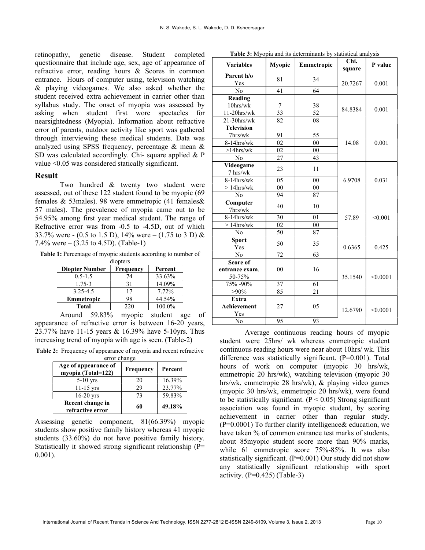retinopathy, genetic disease. Student completed questionnaire that include age, sex, age of appearance of refractive error, reading hours & Scores in common entrance. Hours of computer using, television watching & playing videogames. We also asked whether the student received extra achievement in carrier other than syllabus study. The onset of myopia was assessed by asking when student first wore spectacles for nearsightedness (Myopia). Information about refractive error of parents, outdoor activity like sport was gathered through interviewing these medical students. Data was analyzed using SPSS frequency, percentage & mean & SD was calculated accordingly. Chi- square applied & P value <0.05 was considered statically significant.

#### Result

Two hundred & twenty two student were assessed, out of these 122 student found to be myopic (69 females & 53males). 98 were emmetropic (41 females& 57 males). The prevalence of myopia came out to be 54.95% among first year medical student. The range of Refractive error was from -0.5 to -4.5D, out of which 33.7% were - (0.5 to 1.5 D), 14% were – (1.75 to 3 D) & 7.4% were – (3.25 to 4.5D). (Table-1)

Table 1: Percentage of myopic students according to number of

| diopters              |           |         |  |  |  |  |
|-----------------------|-----------|---------|--|--|--|--|
| <b>Diopter Number</b> | Frequency | Percent |  |  |  |  |
| $0.5 - 1.5$           | 74        | 33.63%  |  |  |  |  |
| $1.75 - 3$            | 31        | 14.09%  |  |  |  |  |
| 3.25-4.5              | 17        | 7.72%   |  |  |  |  |
| Emmetropic            | 98        | 44.54%  |  |  |  |  |
| Total                 | 220       | 100.0%  |  |  |  |  |

Around 59.83% myopic student age of appearance of refractive error is between 16-20 years, 23.77% have 11-15 years & 16.39% have 5-10yrs. Thus increasing trend of myopia with age is seen. (Table-2)

Table 2: Frequency of appearance of myopia and recent refractive error change

| <b>CHOL</b> CHALLED                        |                  |         |  |  |  |
|--------------------------------------------|------------------|---------|--|--|--|
| Age of appearance of<br>myopia (Total=122) | <b>Frequency</b> | Percent |  |  |  |
| $5-10$ yrs                                 | 20               | 16.39%  |  |  |  |
| $11-15$ yrs                                | 29               | 23.77%  |  |  |  |
| $16-20$ yrs                                | 73               | 59.83%  |  |  |  |
| Recent change in<br>refractive error       | 60               | 49.18%  |  |  |  |

Assessing genetic component, 81(66.39%) myopic students show positive family history whereas 41 myopic students (33.60%) do not have positive family history. Statistically it showed strong significant relationship (P= 0.001).

| <b>Table 3:</b> Myopia and its determinants by statistical analysis |  |
|---------------------------------------------------------------------|--|
|---------------------------------------------------------------------|--|

| <b>Variables</b>         | Myopic          | Emmetropic      | Chi.<br>square | P value  |
|--------------------------|-----------------|-----------------|----------------|----------|
| Parent h/o               | 81              | 34              |                | 0.001    |
| Yes                      |                 |                 | 20.7267        |          |
| No                       | 41              | 64              |                |          |
| Reading                  |                 |                 |                | 0.001    |
| $10$ hrs/wk              | 7               | 38              | 84.8384        |          |
| $11-20$ hrs/wk           | $\overline{33}$ | $\overline{52}$ |                |          |
| $21-30$ hrs/wk           | 82              | 08              |                |          |
| <b>Television</b>        |                 |                 |                |          |
| 7hrs/wk                  | 91              | 55              |                |          |
| 8-14hrs/wk               | 02              | 0 <sub>0</sub>  | 14.08          | 0.001    |
| $>14$ hrs/wk             | 02              | 00              |                |          |
| No                       | 27              | 43              |                |          |
| Videogame<br>7 hrs/wk    | 23              | 11              |                | 0.031    |
| 8-14hrs/wk               | 05              | 00              | 6.9708         |          |
| $>14$ hrs/wk             | 0 <sub>0</sub>  | 00              |                |          |
| No                       | 94              | 87              |                |          |
| Computer<br>7hrs/wk      | 40              | 10              | 57.89          | < 0.001  |
| $8-14$ hrs/wk            | 30              | 01              |                |          |
| $>14$ hrs/wk             | 02              | 00              |                |          |
| No                       | 50              | 87              |                |          |
| <b>Sport</b><br>Yes      | 50              | 35              | 0.6365         | 0.425    |
| No                       | 72              | 63              |                |          |
| Score of                 |                 |                 | 35.1540        | < 0.0001 |
| entrance exam.<br>50-75% | 0 <sub>0</sub>  | 16              |                |          |
| 75% -90%                 | 37              | 61              |                |          |
| $>90\%$                  | 85              | 21              |                |          |
| Extra                    |                 |                 | 12.6790        | < 0.0001 |
| Achievement<br>Yes       | 27              | 05              |                |          |
| No                       | 95              | 93              |                |          |

Average continuous reading hours of myopic student were 25hrs/ wk whereas emmetropic student continuous reading hours were near about 10hrs/ wk. This difference was statistically significant. (P=0.001). Total hours of work on computer (myopic 30 hrs/wk, emmetropic 20 hrs/wk), watching television (myopic 30 hrs/wk, emmetropic 28 hrs/wk), & playing video games (myopic 30 hrs/wk, emmetropic 20 hrs/wk), were found to be statistically significant.  $(P < 0.05)$  Strong significant association was found in myopic student, by scoring achievement in carrier other than regular study.  $(P=0.0001)$  To further clarify intelligence & education, we have taken % of common entrance test marks of students, about 85myopic student score more than 90% marks, while 61 emmetropic score 75%-85%. It was also statistically significant. (P=0.001) Our study did not show any statistically significant relationship with sport activity.  $(P=0.425)$  (Table-3)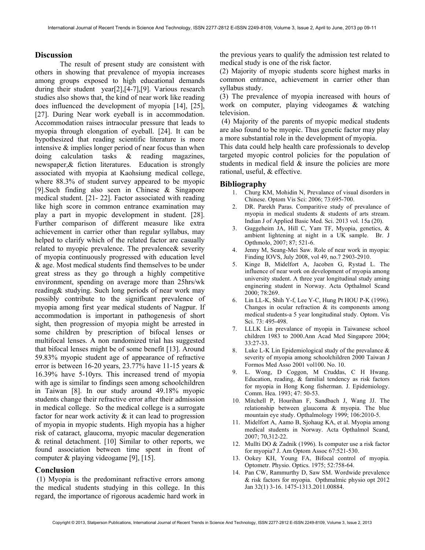### **Discussion**

The result of present study are consistent with others in showing that prevalence of myopia increases among groups exposed to high educational demands during their student year[2],[4-7],[9]. Various research studies also shows that, the kind of near work like reading does influenced the development of myopia [14], [25], [27]. During Near work eyeball is in accommodation. Accommodation raises intraocular pressure that leads to myopia through elongation of eyeball. [24]. It can be hypothesized that reading scientific literature is more intensive & implies longer period of near focus than when doing calculation tasks & reading magazines, newspaper,& fiction literatures. Education is strongly associated with myopia at Kaohsiung medical college, where 88.3% of student survey appeared to be myopic [9].Such finding also seen in Chinese & Singapore medical student. [21- 22]. Factor associated with reading like high score in common entrance examination may play a part in myopic development in student. [28]. Further comparison of different measure like extra achievement in carrier other than regular syllabus, may helped to clarify which of the related factor are casually related to myopic prevalence. The prevalence& severity of myopia continuously progressed with education level & age. Most medical students find themselves to be under great stress as they go through a highly competitive environment, spending on average more than 25hrs/wk reading& studying. Such long periods of near work may possibly contribute to the significant prevalence of myopia among first year medical students of Nagpur. If accommodation is important in pathogenesis of short sight, then progression of myopia might be arrested in some children by prescription of bifocal lenses or multifocal lenses. A non randomized trial has suggested that bifocal lenses might be of some benefit [13]. Around 59.83% myopic student age of appearance of refractive error is between 16-20 years, 23.77% have 11-15 years & 16.39% have 5-10yrs. This increased trend of myopia with age is similar to findings seen among schoolchildren in Taiwan [8]. In our study around 49.18% myopic students change their refractive error after their admission in medical college. So the medical college is a surrogate factor for near work activity & it can lead to progression of myopia in myopic students. High myopia has a higher risk of cataract, glaucoma, myopic macular degeneration & retinal detachment. [10] Similar to other reports, we found association between time spent in front of computer & playing videogame [9], [15].

#### Conclusion

 (1) Myopia is the predominant refractive errors among the medical students studying in this college. In this regard, the importance of rigorous academic hard work in

the previous years to qualify the admission test related to medical study is one of the risk factor.

(2) Majority of myopic students score highest marks in common entrance, achievement in carrier other than syllabus study.

(3) The prevalence of myopia increased with hours of work on computer, playing videogames & watching television.

 (4) Majority of the parents of myopic medical students are also found to be myopic. Thus genetic factor may play a more substantial role in the development of myopia.

This data could help health care professionals to develop targeted myopic control policies for the population of students in medical field & insure the policies are more rational, useful, & effective.

#### Bibliography

- 1. Churg KM, Mohidin N, Prevalance of visual disorders in Chinese. Optom Vis Sci: 2006; 73:695-700.
- 2. DR. Parekh Paras. Comparitive study of prevalance of myopia in medical students & students of arts stream. Indian J of Applied Basic Med. Sci. 2013 vol. 15a (20).
- 3. Guggeheim JA, Hill C, Yam TF, Myopia, genetics, & ambient lightening at night in a UK sample. Br. J Opthmolo, 2007; 87; 521-6.
- 4. Jenny M, Seang-Mei Saw. Role of near work in myopia: Finding IOVS, July 2008, vol 49, no.7 2903-2910.
- 5. Kinge B, Midelfort A, Jacoben G, Rystad L. The influence of near work on development of myopia among university student. A three year longitudinal study aming enginering student in Norway. Acta Opthalmol Scand 2000; 78:269.
- 6. Lin LL-K, Shih Y-f, Lee Y-C, Hung Pt HOU P-K (1996). Changes in ocular refraction & its components among medical students-a 5 year longitudinal study. Optom. Vis Sci. 73: 495-498.
- 7. LLLK Lin prevalance of myopia in Taiwanese school children 1983 to 2000.Ann Acad Med Singapore 2004; 33:27-33.
- 8. Luke L-K Lin Epidemiological study of the prevalance & severity of myopia among schoolchildren 2000 Taiwan J Formos Med Asso 2001 vol100. No. 10.
- 9. L. Wong, D Coggon, M Cruddas, C H Hwang. Education, reading, & familial tendency as risk factors for myopia in Hong Kong fisherman. J. Epidemiology. Comm. Hea. 1993; 47: 50-53.
- 10. Mitchell P, Hourihan F, Sandbach J, Wang JJ. The relationship between glaucoma & myopia. The blue mountain eye study. Opthalmology 1999; 106:2010-5.
- 11. Midelfort A, Aamo B, Sjohaug KA, et al. Myopia among medical students in Norway. Acta Opthalmol Scand, 2007; 70,312-22.
- 12. Mullti DO & Zadnik (1996). Is computer use a risk factor for myopia? J. Am Optom Assoc 67:521-530.
- 13. Ookey KH, Young FA, Bifocal control of myopia. Optometr. Physio. Optics. 1975; 52:758-64.
- 14. Pan CW, Rammurthy D, Saw SM. Wordwide prevalence & risk factors for myopia. Opthmalmic physio opt 2012 Jan 32(1) 3-16. 1475-1313.2011.00884.